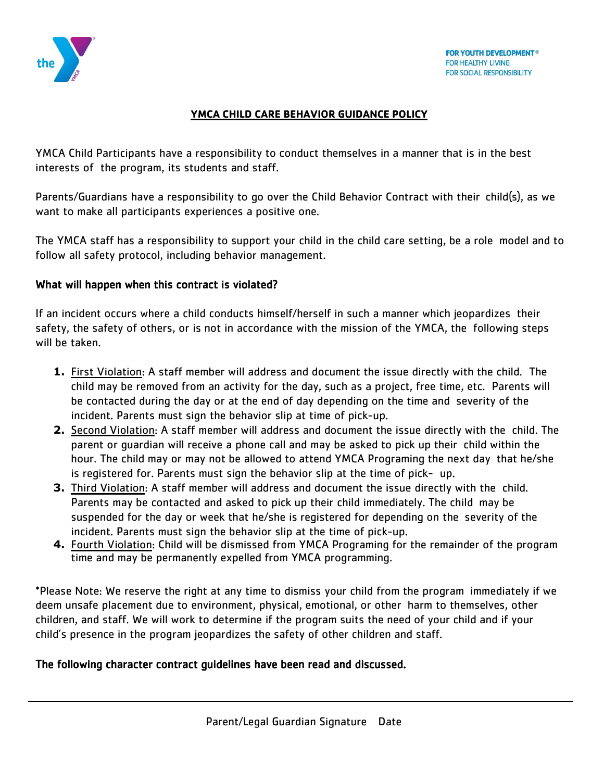

## **YMCA CHILD CARE BEHAVIOR GUIDANCE POLICY**

YMCA Child Participants have a responsibility to conduct themselves in a manner that is in the best interests of the program, its students and staff.

Parents/Guardians have a responsibility to go over the Child Behavior Contract with their child(s), as we want to make all participants experiences a positive one.

The YMCA staff has a responsibility to support your child in the child care setting, be a role model and to follow all safety protocol, including behavior management.

## What will happen when this contract is violated?

If an incident occurs where a child conducts himself/herself in such a manner which jeopardizes their safety, the safety of others, or is not in accordance with the mission of the YMCA, the following steps will be taken.

- **1.** First Violation: A staff member will address and document the issue directly with the child. The child may be removed from an activity for the day, such as a project, free time, etc. Parents will be contacted during the day or at the end of day depending on the time and severity of the incident. Parents must sign the behavior slip at time of pick-up.
- **2.** Second Violation: A staff member will address and document the issue directly with the child. The parent or guardian will receive a phone call and may be asked to pick up their child within the hour. The child may or may not be allowed to attend YMCA Programing the next day that he/she is registered for. Parents must sign the behavior slip at the time of pick- up.
- **3.** Third Violation: A staff member will address and document the issue directly with the child. Parents may be contacted and asked to pick up their child immediately. The child may be suspended for the day or week that he/she is registered for depending on the severity of the incident. Parents must sign the behavior slip at the time of pick-up.
- **4.** Fourth Violation: Child will be dismissed from YMCA Programing for the remainder of the program time and may be permanently expelled from YMCA programming.

\*Please Note: We reserve the right at any time to dismiss your child from the program immediately if we deem unsafe placement due to environment, physical, emotional, or other harm to themselves, other children, and staff. We will work to determine if the program suits the need of your child and if your child's presence in the program jeopardizes the safety of other children and staff.

# The following character contract guidelines have been read and discussed.